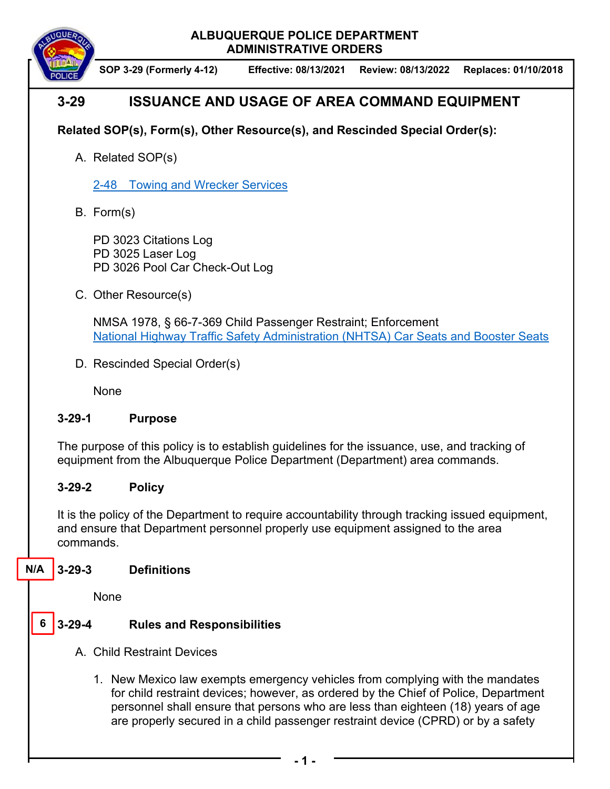#### **ALBUQUERQUE POLICE DEPARTMENT ADMINISTRATIVE ORDERS**



**SOP 3-29 (Formerly 4-12) Effective: 08/13/2021 Review: 08/13/2022 Replaces: 01/10/2018**

# **3-29 ISSUANCE AND USAGE OF AREA COMMAND EQUIPMENT**

# **Related SOP(s), Form(s), Other Resource(s), and Rescinded Special Order(s):**

A. Related SOP(s)

2-48 Towing and Wrecker Services

B. Form(s)

PD 3023 Citations Log PD 3025 Laser Log PD 3026 Pool Car Check-Out Log

C. Other Resource(s)

NMSA 1978, § 66-7-369 Child Passenger Restraint; Enforcement National Highway Traffic Safety Administration (NHTSA) Car Seats and Booster Seats

D. Rescinded Special Order(s)

None

## **3-29-1 Purpose**

The purpose of this policy is to establish guidelines for the issuance, use, and tracking of equipment from the Albuquerque Police Department (Department) area commands.

## **3-29-2 Policy**

It is the policy of the Department to require accountability through tracking issued equipment, and ensure that Department personnel properly use equipment assigned to the area commands.

#### **3-29-3 Definitions N/A**

None

#### **3-29-4 Rules and Responsibilities 6**

- A. Child Restraint Devices
	- 1. New Mexico law exempts emergency vehicles from complying with the mandates for child restraint devices; however, as ordered by the Chief of Police, Department personnel shall ensure that persons who are less than eighteen (18) years of age are properly secured in a child passenger restraint device (CPRD) or by a safety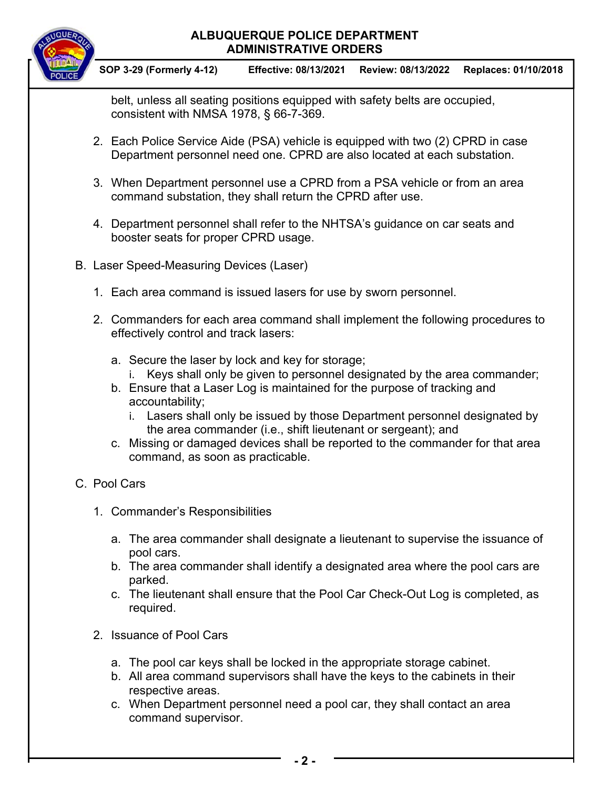#### **ALBUQUERQUE POLICE DEPARTMENT ADMINISTRATIVE ORDERS**



**SOP 3-29 (Formerly 4-12) Effective: 08/13/2021 Review: 08/13/2022 Replaces: 01/10/2018**

belt, unless all seating positions equipped with safety belts are occupied, consistent with NMSA 1978, § 66-7-369.

- 2. Each Police Service Aide (PSA) vehicle is equipped with two (2) CPRD in case Department personnel need one. CPRD are also located at each substation.
- 3. When Department personnel use a CPRD from a PSA vehicle or from an area command substation, they shall return the CPRD after use.
- 4. Department personnel shall refer to the NHTSA's guidance on car seats and booster seats for proper CPRD usage.
- B. Laser Speed-Measuring Devices (Laser)
	- 1. Each area command is issued lasers for use by sworn personnel.
	- 2. Commanders for each area command shall implement the following procedures to effectively control and track lasers:
		- a. Secure the laser by lock and key for storage;
			- i. Keys shall only be given to personnel designated by the area commander;
		- b. Ensure that a Laser Log is maintained for the purpose of tracking and accountability;
			- i. Lasers shall only be issued by those Department personnel designated by the area commander (i.e., shift lieutenant or sergeant); and
		- c. Missing or damaged devices shall be reported to the commander for that area command, as soon as practicable.

## C. Pool Cars

- 1. Commander's Responsibilities
	- a. The area commander shall designate a lieutenant to supervise the issuance of pool cars.
	- b. The area commander shall identify a designated area where the pool cars are parked.
	- c. The lieutenant shall ensure that the Pool Car Check-Out Log is completed, as required.
- 2. Issuance of Pool Cars
	- a. The pool car keys shall be locked in the appropriate storage cabinet.
	- b. All area command supervisors shall have the keys to the cabinets in their respective areas.
	- c. When Department personnel need a pool car, they shall contact an area command supervisor.